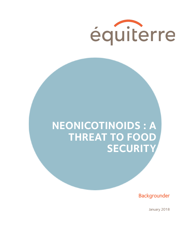

# **NEONICOTINOIDS : A THREAT TO FOOD SECURITY**

Backgrounder

January 2018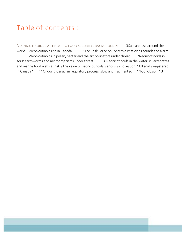# Table of contents :

NEONICOTINOIDS : A THREAT TO FOOD SECURITY, BACKGROUNDER 3Sale and use around the world 3Neonicotinoid use in Canada 5The Task Force on Systemic Pesticides sounds the alarm 6Neonicotinoids in pollen, nectar and the air: pollinators under threat 7Neonicotinoids in soils: earthworms and microorganisms under threat 8Neonicotinoids in the water: invertebrates and marine food webs at risk 9The value of neonicotinoids: seriously in question 10Illegally registered in Canada? 11Ongoing Canadian regulatory process: slow and fragmented 11Conclusion 13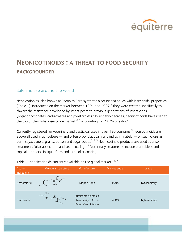

# **NEONICOTINOIDS : A THREAT TO FOOD SECURITY BACKGROUNDER**

# Sale and use around the world

Neonicotinoids, also known as "neonics," are synthetic nicotine analogues with insecticidal properties (Table 1). Introduced on the market between 1991 and 2002,<sup>1</sup> they were created specifically to thwart the resistance developed by insect pests to previous generations of insecticides (organophosphates, carbarmates and pyrethroids).<sup>2</sup> In just two decades, neonicotinoids have risen to the top of the global insecticide market,  $3/4$  accounting for 23.7% of sales.<sup>3</sup>

Currently registered for veterinary and pesticidal uses in over 120 countries,<sup>3</sup> neonicotinoids are above all used in agriculture — and often prophylactically and indiscriminately — on such crops as corn, soya, canola, grains, cotton and sugar beets.<sup>2, 3, 5</sup> Neonicotinoid products are used as a soil treatment, foliar application and seed coating.<sup>2, 3</sup> Veterinary treatments include oral tablets and topical products<sup>6</sup> in liquid form and as a collar coating.

| Active<br>ingredient | Molecular structure                | Manufacturer                                                       | Market entry | Usage         |
|----------------------|------------------------------------|--------------------------------------------------------------------|--------------|---------------|
| Acetamiprid          | CH <sub>2</sub><br>CH <sub>3</sub> | Nippon Soda                                                        | 1995         | Phytosanitary |
| Clothianidin         | CH <sub>3</sub>                    | Sumitomo Chemical<br>Takeda Agro Co. +<br><b>Bayer CropScience</b> | 2000         | Phytosanitary |

Table 1: Neonicotinoids currently available on the global market<sup>1, 3, 7</sup>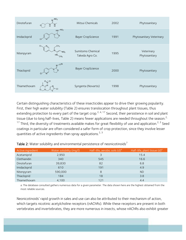| Dinotefuran  | $N$ <sup>-NO<sub>2</sub></sup><br>$\frac{N}{H}$<br>н<br>O | Mitsui Chemicals                     | 2002 | Phytosanitary               |
|--------------|-----------------------------------------------------------|--------------------------------------|------|-----------------------------|
| Imidacloprid | $HN-NO2$<br><b>CI</b>                                     | <b>Bayer CropScience</b>             | 1991 | Phytosanitary Veterinary    |
| Nitenpyram   | CH <sub>3</sub><br>NO <sub>2</sub>                        | Sumitomo Chemical<br>Takeda Agro Co. | 1995 | Veterinary<br>Phytosanitary |
| Thiacloprid  |                                                           | <b>Bayer CropScience</b>             | 2000 | Phytosanitary               |
| Thiamethoxam |                                                           | Syngenta (Novartis)                  | 1998 | Phytosanitary               |

Certain distinguishing characteristics of these insecticides appear to drive their growing popularity. First, their high water solubility (Table 2) ensures translocation throughout plant tissues, thus extending protection to every part of the target crop.<sup>2, 4, 17</sup> Second, their persistence in soil and plant tissue (due to long half-lives, Table 2) means fewer applications are needed throughout the season.<sup>2,</sup> <sup>17</sup> Third, the diversity of treatments available makes for great flexibility of use and application.<sup>2, 3</sup> Seed coatings in particular are often considered a safer form of crop protection, since they involve lesser quantities of active ingredients than spray applications.<sup>2, 3</sup>

| Active ingredient | Water solubility (mq/l) | Half-life, aerobic soils $(d)^a$ | Half-life, plant tissue (d) <sup>a</sup> |
|-------------------|-------------------------|----------------------------------|------------------------------------------|
| Acetamiprid       | 2,950                   | 3                                | 15.4                                     |
| Clothianidin      | 340                     | 545                              | 16.6                                     |
| Dinotefuran       | 39,830                  | 82                               | 6.8                                      |
| Imidacloprid      | 610                     | 191                              | 4.9                                      |
| Nitenpyram        | 590,000                 | 8                                | <b>ND</b>                                |
| Thiacloprid       | 184                     | 18                               | 3.8                                      |
| Thiamethoxam      | 4,100                   | 121                              | 4.4                                      |

Table 2: Water solubility and environmental persistence of neonicotinoids<sup>7</sup>

a: The database consulted gathers numerous data for a given parameter. The data shown here are the highest obtained from the most reliable sources.

Neonicotinoids' rapid growth in sales and use can also be attributed to their mechanism of action, which targets nicotinic acetylcholine receptors (nAChRs). While these receptors are present in both vertebrates and invertebrates, they are more numerous in insects, whose nAChRs also exhibit greater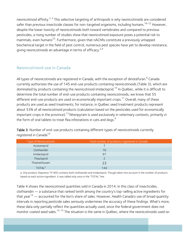neonicotinoid affinity.<sup>2, 3</sup> This selective targeting of arthropods is why neonicotinoids are considered safer than previous insecticide classes for non-targeted organisms, including humans.<sup>18-22</sup> However, despite the lower toxicity of neonicotinoids both toward vertebrates and compared to previous pesticides, a rising number of studies show that neonicotinoid exposure poses a potential risk to mammals, even humans<sup>23</sup>. Furthermore, given that nAChRs constitute a previously untapped biochemical target in the field of pest control, numerous pest species have yet to develop resistance, giving neonicotinoids an advantage in terms of efficacy. $2.4$ 

# Neonicotinoid use in Canada

All types of neonicotinoids are registered in Canada, with the exception of dinotefuran.<sup>8</sup> Canada currently authorizes the use of 145 end-use products containing neonicotinoids (Table 3), which are dominated by products containing the neonicotinoid imidacloprid.<sup>10</sup> In Québec, while it is difficult to determine the total number of end-use products containing neonicotinoids, we know that 55 different end-use products are used on economically important crops.<sup>11</sup> Overall, many of these products are used as seed treatments; for instance, in Québec seed treatment products represent about 53% of all neonicotinoid products (calculation based on the pesticides used for economically important crops in the province).<sup>12</sup> Nitenpyram is used exclusively in veterinary contexts, primarily in the form of oral tablets to treat flea infestations in cats and dogs.<sup>9</sup>

Table 3: Number of end-use products containing different types of neonicotinoids currently registered in Canada<sup>10</sup>

| Type of Neonicotinoid     | Total number of products registered in Canada |  |
|---------------------------|-----------------------------------------------|--|
| Acetamiprid               |                                               |  |
| Clothianidin              | 16                                            |  |
| Imidacloprid              | 97                                            |  |
| Thiacloprid               |                                               |  |
| Thiamethoxam              | 23                                            |  |
| <b>TOTAL</b> <sup>a</sup> | 144                                           |  |

a: One product (Sepresto 75 WS) contains both clothianidin and imidacloprid. Though taken into account in the number of products based on each active ingredient, it was tallied only once in the "TOTAL" line.

Table 4 shows the neonicotinoid quantities sold in Canada in 2014. In this class of insecticides, clothianidin — a substance that ranked tenth among the country's top-selling active ingredients for that year<sup>13</sup> — accounted for the lion's share of sales. However, Health Canada's use of broad quantity intervals in reporting pesticide sales seriously undermines the accuracy of these findings. What's more, these data only partially reflect the quantities actually used, since the federal government does not monitor coated seed sales.<sup>14, 15</sup> The situation is the same in Québec, where the neonicotinoids used on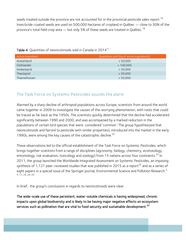seeds treated outside the province are not accounted for in the provincial pesticide sales report.<sup>16</sup> Insecticide-coated seeds are used on 500,000 hectares of cropland in Québec — close to 30% of the province's total field crop area  $-$  but only 5% of these seeds are treated in Québec.<sup>16</sup>

| Active ingredient | Quantities sold (kg of active ingredients) |
|-------------------|--------------------------------------------|
| Acetamiprid       | < 50,000                                   |
| Clothianidin      | >100,000                                   |
| Imidacloprid      | > 50,000                                   |
| Thiacloprid       | < 50,000                                   |
| Thiamethoxam      | > 50,000                                   |

### Table 4: Quantities of neonicotinoids sold in Canada in 2014 $^{11}$

# The Task Force on Systemic Pesticides sounds the alarm

Alarmed by a sharp decline of arthropod populations across Europe, scientists from around the world came together in 2009 to investigate the causes of this worrying phenomenon, with roots that could be traced as far back as the 1950s. The scientists quickly determined that the decline had accelerated significantly between 1990 and 2000, and was accompanied by a marked reduction in the populations of certain bird species that were considered 'common.' The group hypothesized that neonicotinoids and fipronil (a pesticide with similar properties), introduced into the market in the early 1990s, were among the key causes of the catastrophic decline.<sup>24</sup>

These observations led to the official establishment of the Task Force on Systemic Pesticides, which brings together scientists from a range of disciplines (agronomy, biology, chemistry, ecotoxology, entomology, risk evaluation, toxicology and zoology) from 15 nations across four continents.<sup>24</sup> In 2011, the group launched the Worldwide Integrated Assessment on Systemic Pesticides, an imposing synthesis of 1,121 peer-reviewed studies that was published in 2015 as a report<sup>25</sup> and as a series of eight papers in a special issue of the Springer journal, Environmental Science and Pollution Research.<sup>2,</sup> 5, 17, 24, 26-29

In brief, the group's conclusions in regards to neonicotinoids were clear:

The wide-scale use of these persistent, water-soluble chemicals is having widespread, chronic impacts upon global biodiversity and is likely to be having major negative effects on ecosystem services such as pollination that are vital to food security and sustainable development.<sup>24</sup>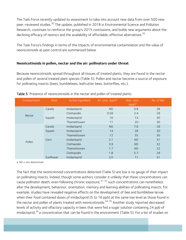The Task Force recently updated its assessment to take into account new data from over 500 new peer-reviewed studies.<sup>30</sup> The update, published in 2018 in Environmental Science and Pollution Research, continues to reinforce the group's 2015 conclusions, and builds new arguments about the declining efficacy of neonics and the availability of affordable, effective alternatives.<sup>30</sup>

The Task Force's findings in terms of the impacts of environmental contamination and the value of neonicotinoids as pest control are summarized below.

#### **Neonicotinoids in pollen, nectar and the air: pollinators under threat**

Because neonicotinoids spread throughout all tissues of treated plants, they are found in the nectar and pollen of several treated plant species (Table 5). Pollen and nectar become a source of exposure for pollinating insects (bees, bumblebees, leafcutter bees, butterflies, etc.).

| Compartment | Plant     | Active ingredient | Av. conc. $(ppb)^a$ | Max. conc.<br>$(ppb)^a$ | No. of Ref. |
|-------------|-----------|-------------------|---------------------|-------------------------|-------------|
|             | Canola    | Imidacloprid      | <b>ND</b>           | 0.8                     | 28          |
|             |           | Clothianidin      | 0.58                | 2.4                     | 29          |
| Nectar      | Squash    | Imidacloprid      | 10                  | 14                      | 30          |
|             |           | Thiamethoxam      | 11                  | 20                      | 30          |
|             | Canola    | Imidacloprid      | <b>ND</b>           | 7.6                     | 28          |
|             | Squash    | Imidacloprid      | 14                  | 28                      | 30          |
|             |           | Thiamethoxam      | 12                  | 35                      | 30          |
| Pollen      | Corn      | Imidacloprid      | 2.1                 | <b>ND</b>               | 31          |
|             |           | Clothianidin      | 3.9                 | <b>ND</b>               | 32          |
|             |           | Thiamethoxam      | 1.7                 | <b>ND</b>               | 32          |
|             |           | Clothianidin      | 1.8                 | 5.7                     | 29          |
|             | Sunflower | Imidacloprid      | 3.0                 | 11                      | 31          |

#### Table 5: Presence of neonicotinoids in the nectar and pollen of treated plants

a: ND = non determined

The fact that the neonicotinoid concentrations detected (Table 5) are low is no gauge of their impact on pollinating insects. Indeed, though some authors consider it unlikely that these concentrations can cause pollinator death, even following chronic exposure,  $31-32$  such concentrations can nonetheless alter the development, behaviour, orientation, memory and learning abilities of pollinating insects. For example, studies have revealed negative effects on the development of bee and bumblebee larvae when their food contained doses of imidacloprid (5 to 16 ppb) at the same low level as those found in the nectar and pollen of plants treated with neonicotinoids.<sup>34, 35</sup> Another study reported decreased levels of activity and olfactory capacity in bees that were fed a sugar solution containing 24 ppb of imidacloprid,<sup>36</sup> a concentration that can be found in the environment (Table 5). For a list of studies on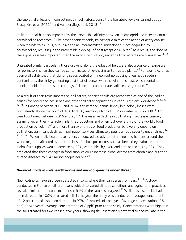the sublethal effects of neonicotinoids in pollinators, consult the literature reviews carried out by Blacquière et al,  $2012^{33}$  and Van der Sluijs et al,  $2013.<sup>22</sup>$ 

Pollinator health is also impacted by the irreversible affinity between imidacloprid and insect nicotinic acetylcholine receptors.<sup>37</sup> Like other neonicotinoids, imidacloprid mimics the action of acetylcholine when it binds to nAChRs, but unlike the neurotransmitter, imidacloprid is not degraded by acetylcholine, resulting in the irreversible blockage of postsynaptic nAChRs.<sup>37</sup> As a result, the dose of the exposure is less important than the exposure duration, since the toxic effects are cumulative.<sup>38, 39</sup>

Untreated plants, particularly those growing along the edges of fields, are also a source of exposure for pollinators, since they can be contaminated at levels similar to treated plants.<sup>40</sup> For example, it has been well established that planting seeds coated with neonicotinoids using pneumatic seeders contaminates the air by generating dust that disperses with the wind; this dust, which contains neonicotinoids from the seed coatings, falls on and contaminates adjacent vegetation.<sup>40, 41</sup>

As a result of their toxic impacts on pollinators, neonicotinoids are recognized as one of the leading causes for noted declines in bee and other pollinator populations in various regions worldwide.<sup>5, 22, 30,</sup>  $42-45$  In Canada between 2006 and 2014, for instance, annual honey bee colony losses were consistently above the norm of 10% to 15%, reaching a high of 35% in winter 2007/2008<sup>43</sup>. This trend continued between 2015 and 2017. The massive decline in pollinating insects is extremely alarming, given their vital role in plant reproduction, and when just over a third of the world's food production by volume<sup>46</sup> and more than two-thirds of food production by diversity depend on pollination, significant declines in pollination services ultimately puts our food security under threat  $24$ ,  $27,47,48$ . When public health researchers conducted a study to determine how humans around the world might be affected by the total loss of animal pollinators, such as bees, they estimated that global fruit supplies would decrease by 23%, vegetables by 16%, and nuts and seeds by 22%. They predicted that these changes in food supplies could increase global deaths from chronic and nutritionrelated diseases by 1.42 million people per year  $49$ .

#### **Neonicotinoids in soils: earthworms and microorganisms under threat**

Neonicotinoids have also been detected in soils, where they can persist for years.<sup>17, 50</sup> A study conducted in France on different soils subject to varied climatic conditions and agricultural practices revealed imidacloprid concentrations in 91% of the samples analyzed.<sup>51</sup> While this insecticide had been detected in 100% of treated soils in the year the study was conducted (average concentration of 12 ppb), it had also been detected in 97% of treated soils one year (average concentration of 6 ppb) or two years (average concentration of 8 ppb) prior to the study. Concentrations were higher in the soils treated for two consecutive years, showing the insecticide's potential to accumulate in the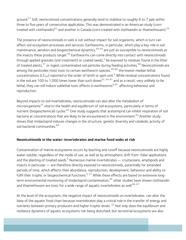ground.<sup>51</sup> Still, neonicotinoid concentrations generally tend to stabilize to roughly 6 to 7 ppb within three to five years of consecutive application. This was demonstrated in an American study (corn treated with clothianidin)<sup>52</sup> and another in Canada (corn treated with clothianidin or thiamethoxam).<sup>53</sup>

The presence of neonicotinoids in soils is not without impact for soil organisms, which in turn can affect soil ecosystem processes and services. Earthworms, in particular, which play a key role in soil maintenance, aeration and biogeochemical dynamics,  $54-55$  are just as susceptible to neonicotinoids as the insects these products target.<sup>56</sup> Earthworms can come directly into contact with neonicotinoids through applied granules (soil treatment) or coated seeds, $5$  be exposed to residues found in the litter of treated plants,<sup>57</sup> or ingest contaminated soil particles during feeding activities.<sup>58</sup> Neonicotinoids are among the pesticides most toxic to certain earthworm species, $49-60$  the lowest median lethal concentrations ( $LC_{50}$ ) reported in the order of tenth or ppm unit.<sup>5</sup> While residual concentrations found in the soil are 100 to 1,000 times lower than such doses<sup>52, 54, 61</sup> and as a result, very unlikely to be lethal, they can still induce sublethal toxic effects in earthworms<sup>5,24</sup>, affecting behaviour and reproduction.

Beyond impacts to soil invertebrates, neonicotinoids can also alter the metabolism of microorganisms<sup>27</sup> vital to the health and equilibrium of soil ecosystems, particularly in terms of nutrient (biogeochemical) cycles.<sup>62</sup> One study suggests that acetamiprid can inhibit respiration of soil bacteria at concentrations that are likely to be encountered in the environment.<sup>63</sup> Another study shows that imidacloprid induces changes in the structure, genetic diversity and catabolic activity of soil bacterial communities.<sup>64</sup>

#### **Neonicotinoids in the water: invertebrates and marine food webs at risk**

Contamination of marine ecosystems occurs by leaching and runoff because neonicotinoids are highly water soluble, regardless of the mode of use, as well as by atmospheric drift from foliar applications and the planting of treated seeds.<sup>5</sup> Numerous marine invertebrates  $-$  crustaceans, amphipods and insects in particular — are therefore directly exposed to neonicotinoids, potentially for extended periods of time, which affects their abundance, reproduction, development, behaviour and ability to fulfil their trophic or biogeochemical functions.<sup>5, 27</sup> While these effects are based on extensive longterm environmental monitoring of imidacloprid contamination,<sup>65</sup> other studies have shown clothianidin and thiamethoxam are toxic for a wide range of aquatic invertebrates as well.<sup>66, 67</sup>

At the level of the ecosystem, the negative impact of neonicotinoids on invertebrates can alter the base of the aquatic food chain because invertebrates play a critical role in the transfer of energy and nutrients between primary producers and higher trophic levels .<sup>27</sup> Not only does the equilibrium and resilience dynamics of aquatic ecosystems risk being disturbed, but terrestrial ecosystems are also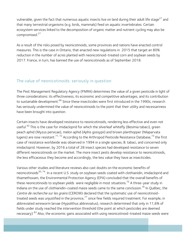vulnerable, given the fact that numerous aquatic insects live on land during their adult life stage<sup>27</sup> and that many terrestrial organisms (e.g. birds, mammals) feed on aquatic invertebrates. Certain ecosystem services linked to the decomposition of organic matter and nutrient cycling may also be compromised.<sup>27</sup>

As a result of the risks posed by neonicotinoids, some provinces and nations have enacted control measures. This is the case in Ontario, that enacted new regulations in 2015 that target an 80% reduction in the number of acres planted with neonicotinoid-treated corn and soybean seeds by 2017. France, in turn, has banned the use of neonicotinoids as of September 2018.

### The value of neonicotinoids: seriously in question

The Pest Management Regulatory Agency (PMRA) determines the value of a given pesticide in light of three considerations: its effectiveness, its economic and competitive advantages, and its contribution to sustainable development.<sup>68</sup> Since these insecticides were first introduced in the 1990s, research has seriously undermined the value of neonicotinoids to the point that their utility and necessariness have been brought into question.

Certain insects have developed resistance to neonicotinoids, rendering less effective and even not useful.<sup>30</sup> This is the case for imidacloprid for which the silverleaf whitefly (Besimia tabaci), green peach aphid (Myzus persicae), melon aphid (Aphis gossypii) and brown planthopper (Nilaparvata lugens) are now resistant.<sup>71, 72</sup> According to the Arthropod Pesticide Resistance Database,<sup>73</sup> the first case of resistance worldwide was observed in 1994 in a single species, B. tabaci, and concerned only imidacloprid. However, by 2016 a total of 28 insect species had developed resistance to seven different neonicotinoids on the market. The more insect pests develop resistance to neonicotinoids, the less efficaceous they become and accordingly, the less value they have as insecticides.

Various other studies and literature reviews also cast doubts on the economic benefits of neonicotinoids<sup>30, 74</sup>. In a recent U.S. study on soybean seeds coated with clothianidin, imidacloprid and thiamethoxam, the Environmental Protection Agency (EPA) concluded that the overall benefits of these neonicotinoids to soybean yields were negligible in most situations.<sup>75</sup> A three-year study in Indiana on the use of clothianidin-coated maize seeds came to the same conclusion.<sup>76</sup> In Québec, the Centre de recherche sur les grains (CEROM) declared that the systematic use of neonicotinoidtreated seeds was unjustified in the province, $^{77}$  since few fields required treatment. For example, in abbreviated wireworm larvae (Hypolithus abbreviatus), research determined that only in 11,6% of fields under study reached the intervention threshold (the point at which pesticides are deemed necessary) <sup>83</sup> Also, the economic gains associated with using neonicotinoid-treated maize seeds were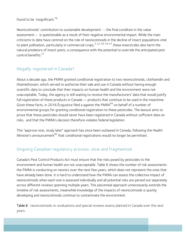#### found to be insignificant.<sup>78</sup>

Neonicotinoids' contribution to sustainable development -- the final condition in the value assessment-- is questionable as a result of their negative environmental impact. While the main criticisms to date have centred on the role of neonicotinoids in the decline of insect populations vital to plant pollination, particularly in commercial crops,<sup>5, 22, 30, 44-47</sup> these insecticides also harm the natural predators of insect pests, a consequence with the potential to override the anticipated pest control benefits<sup>27</sup>

# Illegally registered in Canada?

About a decade ago, the PMRA granted conditional registration to two neonicotinoids, clothianidin and thiamethoxam, which served to authorize their sale and use in Canada without having enough scientific data to conclude that their impacts on human health and the environment were not unacceptable. Today, the agency is still waiting to receive the manufacturers' data that would justify full registration of these products in Canada — products that continue to be used in the meantime. Given these facts, in 2016 Écojustice filed a against the PMRA $^{84}$  on behalf of a number of environmental groups for granting conditional registration to these pesticides. The lawsuit aims to prove that these pesticides should never have been registered in Canada without sufficient data on risks, and that the PMRA's decision therefore violates federal legislation.

This "approve now, study later" approach has since been outlawed in Canada, following the Health Minister's announcement<sup>85</sup> that conditional registrations would no longer be permitted.

# Ongoing Canadian regulatory process: slow and fragmented

Canada's Pest Control Products Act must ensure that the risks posed by pesticides to the environment and human health are not unacceptable. Table 6 shows the number of risk assessments the PMRA is conducting on neonics over the next few years, which does not represent the ones that have already been done. It is hard to understand how the PMRA can assess the collective impact of neonicotinoids when each one is assessed individually and all potential risks are parsed out separately across different reviews spanning multiple years. This piecemeal approach unnecessarily extends the timeline of risk assessments, meanwhile knowledge of the impacts of neonicotinoids is quickly developing and neonicotinoids continue to contaminate the environment.

Table 6 : neonicotinoids re-evaluations and special reviews exams planned in Canada over the next years.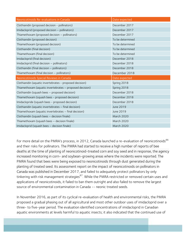| Neonicotinoids Re-evaluations in Canada                  | Date expected    |
|----------------------------------------------------------|------------------|
| Clothianidin (proposed decision - pollinators)           | December 2017    |
| Imidacloprid (proposed decision - pollinators)           | December 2017    |
| Thiamethoxam (proposed decision - pollinators)           | December 2017    |
| Clothianidin (proposed decision)                         | To be determined |
| Thiamethoxam (proposed decision)                         | To be determined |
| Clothianidin (final decision)                            | To be determined |
| Thiamethoxam (final decision)                            | To be determined |
| Imidacloprid (final decision)                            | December 2018    |
| Imidacloprid (final decision - pollinators)              | December 2018    |
| Clothianidin (final decision - pollinators)              | December 2018    |
|                                                          | December 2018    |
| Thiamethoxam (final decision - pollinators)              |                  |
| Neonicotinoids Special Reviews in Canada                 | Date expected    |
| Clothianidin (aquatic invertebrates - proposed decision) | Spring 2018      |
| Thiamethoxam (aquatic invertebrates - proposed decision) | Spring 2018      |
| Clothianidin (squash bees - proposed decision)           | December 2018    |
| Thiamethoxam (squash bees - proposed decision)           | December 2018    |
| Imidaclopride (squash bees - proposed decision)          | December 2018    |
| Clothianidin (aquatic invertebrates - final decision)    | June 2019        |
| Thiamethoxam (aquatic invertebrates - final decision)    | June 2019        |
| Clothianidin (squash bees - decision finale)             | March 2020       |
| Thiamethoxam (squash bees - decision finale)             | March 2020       |

For more detail on the PMRA's process, in 2012, Canada launched a re-evaluation of neonicotinoids<sup>86</sup> and their risks for pollinators. The PMRA had started to receive a high number of reports of bee deaths at the time of planting of neonicotinoid-treated corn and soy seed and in response, the agency increased monitoring in corn- and soybean-growing areas where the incidents were reported. The PMRA found that bees were being exposed to neonicotinoids through dust generated during the planting of treated seed. Its assessment report on the impact of neonicotinoids on pollinators in Canada was published in December 2017, and failed to adequately protect pollinators by only tinkering with risk management strategies<sup>87</sup>. While the PMRA restricted or removed certain uses and applications of neonicotinoids, it failed to ban them outright and also failed to remove the largest source of environmental contamination in Canada -- neonic treated seeds.

In November 2016, as part of its cyclical re-evaluation of health and environmental risks, the PMRA proposed a gradual phasing out of all agricultural and most other outdoor uses of imidacloprid over a three- to five-year period. The evaluation identified concentrations of imidacloprid in Canadian aquatic environments at levels harmful to aquatic insects; it also indicated that the continued use of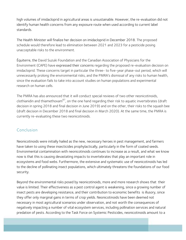high volumes of imidacloprid in agricultural areas is unsustainable. However, the re-evaluation did not identify human health concerns from any exposure route when used according to current label standards.

The Health Minister will finalize her decision on imidacloprid in December 2018. The proposed schedule would therefore lead to elimination between 2021 and 2023 for a pesticide posing unacceptable risks to the environment.

Équiterre, the David Suzuki Foundation and the Canadian Association of Physicians for the Environment (CAPE) have expressed their concerns regarding the proposed re-evaluation decision on imidacloprid. These concerns target in particular the three- to five-year phase-out period, which will unnecessarily prolong the environmental risks, and the PMRA's dismissal of any risks to human health, since the evaluation fails to take into account studies on human populations and experimental research on human cells.

The PMRA has also announced that it will conduct special reviews of two other neonicotinoids, clothianidin and thiamethoxam $^{87}$ , on the one hand regarding their risk to aquatic invertebrates (draft decision in spring 2018 and final decision in June 2019) and on the other, their risks to the squash bee (draft decision in December 2018 and final decision in March 2020). At the same time, the PMRA is currently re-evaluating these two neonicotinoids.

# Conclusion

Neonicotinoids were initially hailed as the new, necessary heroes in pest management, and farmers have taken to using these insecticides prophylactically, particularly in the form of coated seeds. Environmental contamination with neonicotinoids continues to increase as a result, and what we know now is that this is causing devastating impacts to invertebrates that play an important role in ecosystems and food webs. Furthermore, the extensive and systematic use of neonicotinoids has led to the decline of pollinating insect populations, which ultimately threatens the foundations of our food security.

Beyond the environmental risks posed by neonicotinoids, more and more research shows that their value is limited. Their effectiveness as a pest control agent is weakening, since a growing number of insect pests are developing resistance, and their contribution to economic benefits is illusory, since they offer only marginal gains in terms of crop yields. Neonicotinoids have been deemed not necessary in most agricultural scenarios under observation, and not worth the consequences of negatively impacting a number of vital ecosystem services, including pollination services and natural predation of pests. According to the Task Force on Systemic Pesticides, neonicotinoids amount to a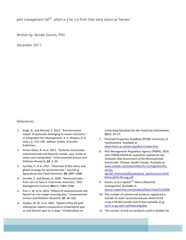pest management fail<sup>30</sup>, which is a far cry from their early status as "heroes."

Written by: Nicolas Soumis, PhD

December 2017

#### References :

- 1. Singh, B., and Mandal, K. 2013. "Environmental impact of pesticides belonging to newer chemistry." In *Integrated Pest Management*, A. K. Dhawan et al (eds.), p. 152-190. Jodhpur (India): Scientific Publishers.
- 2. Simon-Delso, N. et al. 2015. "Systemic insecticides (neonicotinoids and fipronil): trends, uses, mode of action and metabolites." Environmental Science and *Pollution Research*, **22**: 5–34.
- 3. Jeschke, P. et al. 2011. "Overview of the status and global strategy for neonicotinoids." Journal of *Agricultural and Food Chemistry*, **59**: 2897–2808.
- 4. Jeschke, P. and Nauen, R. 2008. "Neonicotinoidsfrom zero to hero in insecticide chemistry." Pest *Management Science*, **64**(11): 1084–1098.
- 5. Pisa, L. W. et al. 2015. "Effects of neonicotinoids and fipronil on non-target invertebrates." Environmental *Science and Pollution Research*, **22**: 68–102.
- 6. Dryden, M. W. et al. 2001. "Speed of flea kill with nitenpyram tablets compared to imidacloprid spot on and fipronil spot on in dogs." Compendium on

*Continuing Education for the Practicing Veterinarian*, **23**(3): 24–27.

- 7. Pesticide Properties DataBase (PPDB). University of Hertfordshire. Available at sitem.herts.ac.uk/aeru/ppdb/en/index.htm
- 8. Pest Management Regulatory Agency (PMRA). 2016. Joint PMRA/USEPA Re-evaluation Update for the **Pollinator Risk Assessment of the Neonicotinoid** *Insecticides*. Ottawa: Health Canada. Available at www.canada.ca/content/dam/hc-sc/migration/hcsc/cpsspc/alt\_formats/pdf/pubs/pest/\_decisions/rev2016-04/rev2016-04-eng.pdf
- 9. Elanco. (n.d.) *Capstar<sup>TM</sup> Elanco* (Novartis) *(nitenpyram)*. Available at elanco.cvpservice.com/product/basic/view/1231038
- 10. The number of commercial products registered in Canada for each neonicotinoid was determined using a Health Canada search tool available at prrp.hc-sc.gc.ca/ls-re/index-eng.php
- 11. The number of end-use products used in Québec for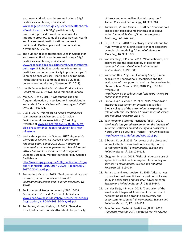each neonicotinoid was determined using a SAgE pesticides search tool, available at www.sagepesticides.qc.ca/Recherche/Recherch eProduits.aspx N.B. SAgE pesticides only inventories pesticides used on economically important crops (O. Samuel, Science Adviser, Health and Environment, Institut national de santé publique du Québec, personal communication, November 22, 2017).

- 12. The number of seed treatments used in Québec for each neonicotinoid was determined using a SAgE pesticides search tool, available at www.sagepesticides.qc.ca/Recherche/RecherchePro duits.aspx N.B. SAgE pesticides only inventories pesticides used on economically important crops (O. Samuel, Science Adviser, Health and Environment, Institut national de santé publique du Québec, personal communication, November 22, 2017).
- 13. Health Canada. (n.d.) Pest Control Products Sales *Report for 2014.* Ottawa: Government of Canada.
- 14. Main, A. R. et al. 2014. "Widespread use and frequent detection of neonicotinoid insecticides in wetlands of Canada's Prairie Pothole region." PLOS *ONE*, **9**(3): e92821.
- 15. Gue, L. 2017. First report on neonic-treated seed sales measures widespread use. Canadian Environmental Law Association (CELA) blog. Available at www.cela.ca/blog/2017-02-02/guestblog-phase-ontarios-neonic-regulation-hits-newmilestone
- 16. Vérificateur général du Québec. 2017. Rapport du *Vérificateur général du Québec à l'Assemblée nationale pour l'année 2016-2017. Rapport du commissaire au développement durable. Printemps 2016. Chapitre 3: Pesticides en milieu agricole*. Québec: Bureau du Vérificateur général du Québec. Available at

http://www.vgq.gouv.qc.ca/fr/fr\_publications/fr\_ra pport-annuel/fr\_2016-2017-CDD/fr\_Rapport2016- 2017-CDD-Chap03.pdf

- 17. Bonmatin, J.-M. et al. 2015. "Environmental fate and exposure; neonicotinoids and fipronil." *Environmental Science and Pollution Research*, **22**: 35–67.
- 18. Environmental Protection Agency (EPA). 2003. *Clothianidin* – *Pesticide fact sheet*. Available at www3.epa.gov/pesticides/chem\_search/reg\_actions /registration/fs\_PC-044309\_30-May-03.pdf
- 19. Tomizawa, M. and Casida, J. E. 2003. "Selective toxicity of neonicotinoids attributable to specificity

of insect and mammalian nicotinic receptors." *Annual Review of Entomology*, **48**: 339–364.

- 20. Tomizawa, M. and Casida, J. E. 2005. "Neonicotinoid insecticide toxicology: mechanisms of selective action." *Annual Review of Pharmacology and Toxicology*, **45**: 247–268.
- 21. Liu, G. Y. et al. 2010. "Selectivity of imidacloprid for fruit fly versus rat nicotinic acetylcholine receptors by molecular modeling." Journal of Molecular *Modeling*, **16**: 993-1002.
- 22. Van der Sluijs, J. P. et al. 2013. "Neonicotinoids, bee disorders and the sustainability of pollinators services." Current Opinion in Environmental *Sustainability*, **5**: 293–305.
- 23. Wenchao Han, Ying Tian, Xiaoming Shen, Human exposure to neonicotinoid insecticides and the evaluation of their potential toxicity: An overview, In Chemosphere, Volume 192, 2018, Pages 59-65 Available at http://www.sciencedirect.com/science/article/pii/S 0045653517317332
- 24. Bijleveld van Lexmond, M. et al. 2015. "Worldwide integrated assessment on systemic pesticides. Global collapse of the entomofauna: exploring the role of systemic insecticides." Environmental Science *and Pollution Research*, **22**: 1–4.
- 25. Task Force on Systemic Pesticides (TFSP). 2015. Worldwide integrated assessment on the impacts of *systemic pesticides on biodiversity and ecosystems*. Notre-Dame-de-Lourdes (France): TFSP. Available at http://www.tfsp.info/assets/WIA\_2015.pdf
- 26. Gibbons, D. et al. 2015. "A review of the direct and indirect effects of neonicotinoids and fipronil on vertebrate wildlife." Environmental Science and *Pollution Research*, **22**: 103–118.
- 27. Chagnon, M. et al. 2015. "Risks of large-scale use of systemic insecticides to ecosystem functioning and services." *Environmental Science and Pollution Research*, **22**: 119–134.
- 28. Furlan, L., and Kreutzweiser, D. 2015. "Alternatives to neonicotinoid insecticides for pest control: case study in agriculture and forestry." Environmental *Science and Pollution Research*, **22**: 135–147.
- 29. Van der Sluijs, J. P. et al. 2015. "Conclusion of the Worldwide Integrated Assessment on the risks of neonicotinoids and fipronil to biodiversity and ecosystem functioning." Environmental Science and *Pollution Research*, 22: 148-154.
- 30. Task Force on Systemic Pesticides (TFSP). 2017. Highlights from the 2017 update to the Worldwide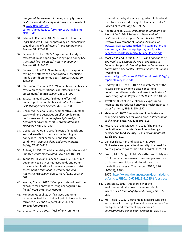*Integrated Assessment of the Impact of Systemic Pesticides on Biodiversity and Ecosystems.* Available at www.tfsp.info/wpcontent/uploads/2017/09/TFSP-WIA2-highlights-FINAL.pdf 

- 31. Schmuck, R. et al. 2001. "Risk posed to honeybees (Apis mellifera L, Hymenoptera) by an imidacloprid seed dressing of sunflowers." Pest Management *Science*, **57**: 225–238.
- 32. Faucon, J.-P. et al. 2005. "Experimental study on the toxicity of imidacloprid given in syrup to honey bee (*Apis mellifera*) colonies." *Pest Management Science*, **61**: 111–125.
- 33. Creswell, J. E. 2011. "A meta-analysis of experiments testing the effects of a neonicotinoid insecticide (imidacloprid) on honey bees." *Ecotoxicology*, **20**: 149–157.
- 34. Blacquière, T. et al. 2012. "Neonicotinoids in bees: a review on concentrations, side-effects and risk assessment." *Ecotoxicology*, **21**: 973–992.
- 35. Tasei, J. N. et al. 2000. "Sublethal effects of imidacloprid on bumblebees, *Bombus terrestris*." Pest Management Science, **56**: 784-788.
- 36. Decourtye, A. et al. 2005. "Comparative sublethal toxicity of nine pesticides on olfactory learning performances of the honeybee Apis mellifera." Archives of Environmental Contamination and *Toxicology*, **48**: 242–250.
- 37. Decourtye, A. et al. 2004. "Effects of imidacloprid and deltamethrin on associative learning in honeybees under semi-field and laboratory conditions." *Ecotoxicology and Environmental Safety*, **57**: 410–419.
- 38. Abbink, J. 1991. "The biochemistry of imidacloprid." *Pflanzenschutz-Nachrichten Bayer*, **42**: 183–195.
- 39. Tennekes, H. A. and Sánchez-Bayo, F. 2011. "Timedependent toxicity of neonicotinoids and other toxicants: implications for a new approach to risk assessment." Journal of Environmental and *Analytical Toxicology*, doi: 10.4172/2161-0525.S4- 001.
- 40. Krupke, C. et al. 2012. "Multiple routes of pesticide exposure for honey bees living near agricultural fields." *PLOS ONE*, **7**(1): e29268.
- 41. Rondeau, G. et al. 2014. "Delayed and timecumulative toxicity of imidacloprid in bees, ants, and termites." *Scientific Reports*, **4**: 5566, doi: 10.1038/srep05566.
- 42. Greatti, M. et al. 2003. "Risk of environmental

contamination by the active ingredient imidacloprid used for corn seed dressing. Preliminary results." *Bulletin of Insectology*, **56**: 69–72.

- 43. Health Canada. 2013. *Evaluation of Canadian Bee Mortalities in 2013 Related to Neonicotinoid Pesticides. Interim report: September 26, 2013*. Ottawa: Government of Canada. Available at www.canada.ca/content/dam/hc-sc/migration/hcsc/cps-spc/alt\_formats/pdf/pubs/pest/\_factfiche/bee\_mortality-mortalite\_abeille-eng.pdf
- 44. Mockler, P. and Tardif, C. 2015. The Importance of *Bee Health to Sustainable Food Production in Canada. Rapport du Standing Senate Committee on*  Agriculture and Forestry. Ottawa: Senate of Canada. Available at www.parl.gc.ca/Content/SEN/Committee/412/agfo/ rep/rep09may15-e.pdf
- 45. Godfray, H. C. J. et al. 2017. "A restatement of the natural science evidence base concerning neonicotinoid insecticides and insect pollinators." *Proceedings of the Royal Society B, 281: 20140558.*
- 46. Tsvetkov, N. et al. 2017. "Chronic exposure to neonicotinoids reduces honey bee health near corn crops." *Science*, **356**: 1395–1397.
- 47. Klein, A.-M. 2007. "Importance of pollinators in changing landscapes for world crops." Proceedings *of the Royal Society B*, **274**: 303–313.
- 48. Kevan, P. G. and Menzel, R. 2012. "The plight of pollination and the interface of neurobiology, ecology and food security." The Environmentalist, **32**(3): 300–310.
- 49. Van der Sluijs, J. P. and Vaage, N. S. 2016. "Pollinators and global food security: the need for holistic global stewardship." Food Ethics, 1: 75-91.
- 50. Smith, M R; Singh, G M; Mozaffarian, D; Myers, S S. Effects of decreases of animal pollinators on human nutrition and global health: a modelling analysis. The Lancet, 2015, 386, (10007), 1964-1972. http://www.thelancet.com/journals/lanc et/article/PIIS0140-6736(15)61085-6/abstract
- 51. Goulson, D. 2013. "An overview of the environmental risks posed by neonicotinoid insecticides." *Journal of Applied Ecology*, **50**: 977– 987.
- 52. Xu, T. et al. 2016. "Clothianidin in agricultural soils and uptake into corn pollen and canola nectar after multiyear seed treatment applications." *Environmental Science and Technology*, **35**(2): 311–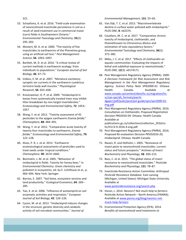321. 

- 53. Schaafsma, A. et al. 2016. "Field-scale examination of neonicotinoid insecticide persistence in soil as a result of seed treatment use in commercial maize (corn) fields in Southwestern Ontario." *Environmental Toxicology and Chemistry*, **35**(2): 295–302.
- 54. Mostert, M. A. et al. 2000. "The toxicity of five insecticides to earthworms of the Pheretima group, using an artificial soil test." Pest Management *Science*, **56**: 1093–1097.
- 55. Bartlett, M. D. et al. 2010. "A critical review of current methods in earthworm ecology: from individuals to populations." *European Journal of Soil Biology*, **46**: 67–73.
- 56. Volkov, E. M. et al. 2007. "Miniature excitatory synaptic ion currents in the earthworm *Lumbricus terrestris* body wall muscles." *Physiological Research*, **56**: 655–658.
- 57. Kreutzweiser, D. P. et al. 2009. "Imidacloprid in leaves from systematically treated trees may inhibit litter breakdown by non-target invertebrates." *Ecotoxicology and Environmental Safety*, **72**: 1053– 1057.
- 58. Wang, Y. et al. 2012. "Toxicity assessment of 45 pesticides to the epigeic earthworm *Eisenia fetida*." *Chemosphere*, **88**: 484–491.
- 59. Wang, Y. et al. 2012. "Comparative acute toxicity of twenty-four insecticides to earthworm, *Eisenia fetida*." *Ecotoxicology and Environmental Safety*, **79**: 122–128.
- 60. Alves, P. R. L. et al. 2013. "Earthworm ecotoxicological assessments of pesticides used to treat seeds under tropical conditions." *Chemosphere*, **90**: 2674–2682.
- 61. Bonmatin, J.-M. et al. 2005. "Behaviour of imidacloprid in fields. Toxicity for honey bees." In *Environmental Chemistry. Green chemistry and pollutant in ecosystems*, ed. by E. Lichtfouse et al., p. 483-494. New York: Springer.
- 62. Barrios, E. 2007. "Soil biota, ecosystem services and land productivity." Ecological Economics, 64: 269– 285.
- 63. Yao, X. et al. 2006. "Influence of acetamiprid on soil enzymatic activities and respiration." European Journal of Soil Biology, 42: 120-126.
- 64. Cycon, M. et al. 2013. "Imidacloprid induces changes in the structure, genetic diversity and catabolic activity of soil microbial communities." Journal of

*Environmental Management*, **131**: 55–65. 

- 65. Van Dijk, T. C. et al. 2013. "Macroinvertebrate decline in surface water polluted with imidacloprid." *PLOS ONE*, **8**: e62374.
- 66. Cavallaro, M. C. et al. 2017. "Comparative chronic toxicity of imidacloprid, clothianidin, and thiamethoxam to Chironomus dilutus and estimation of toxic equivalency factors." *Environmental Toxicology and Chemistry*, **36**(2): 372–382.
- 67. Miles, J. C. et al. 2017. "Effects of clothianidin on aquatic communities: Evaluating the impacts of lethal and sublethal exposure to neonicotinoids." *PLOS ONE*, **12**(3): e0174171.
- 68. Pest Management Regulatory Agency (PMRA). 2000. *A Decision Framework for Risk Assessment and Risk Management in the Pest Management Regulatory Agency. Science Policy Note SPN2000-01*. Ottawa: Health Canada. Available at www.canada.ca/content/dam/hc-sc/migration/hcsc/cps-spc/alt\_formats/pacrbdgapcr/pdf/pubs/pest/pol-guide/spn/spn2000-01 eng.pdf
- 69. Pest Management Regulatory Agency (PMRA). 2016. *Consultation on Clothianidin, Proposed Registration Decision PRD2016-04*. Ottawa: Health Canada. Available at publications.gc.ca/collections/collection\_2016/schc/H113-9-2016-4-eng.pdf.
- 70. Pest Management Regulatory Agency (PMRA). 2016. *Proposed Re-evaluation Decision PRVD2016-20, Imidacloprid*. Ottawa: Health Canada.
- 71. Nauen, R. and Delholm, I. 2005. "Resistance of insect pests to neonicotinoid insecticides: current status and future prospects." Archives of Insect *Biochemistry and Physiology*, **58**: 200–215.
- 72. Bass, C. et al. 2015. "The global status of insect resistance to neonicotinoid insecticides." Pesticide *Biochemistry and Physiology*, **121**: 78–87.
- 73. Insecticide Resistance Action Committee. *Arthropod Pesticide Resistance Database*. East Lansing (Michigan, United States): Michigan State University. Available at www.pesticideresistance.org/search.php
- 74. Horan, L. 2014. *Neonics? Not much help to farmers.* Pesticide Action Network - North America (PANNA). Available at www.panna.org/blog/neonics-notmuch-help-farmers
- 75. Environmental Protection Agency (EPA). 2014. Benefits of neonicotinoid seed treatments to